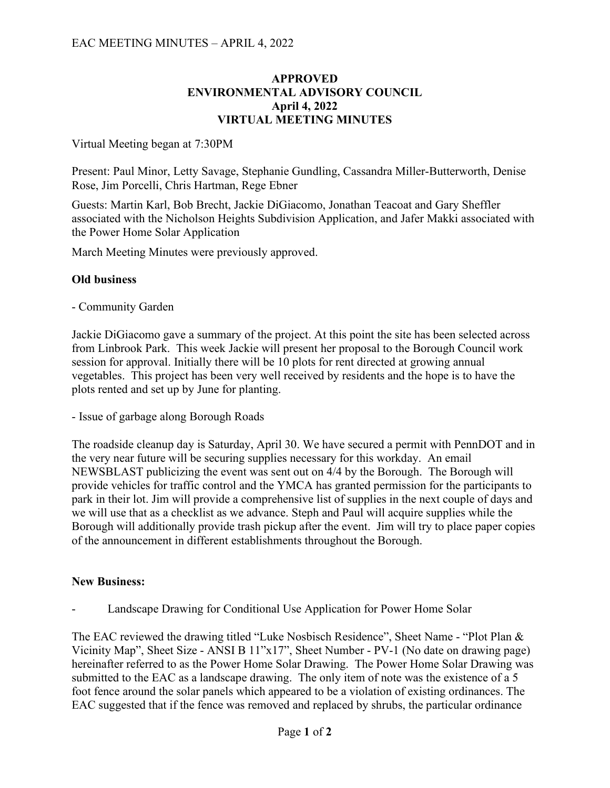## **APPROVED ENVIRONMENTAL ADVISORY COUNCIL April 4, 2022 VIRTUAL MEETING MINUTES**

## Virtual Meeting began at 7:30PM

Present: Paul Minor, Letty Savage, Stephanie Gundling, Cassandra Miller-Butterworth, Denise Rose, Jim Porcelli, Chris Hartman, Rege Ebner

Guests: Martin Karl, Bob Brecht, Jackie DiGiacomo, Jonathan Teacoat and Gary Sheffler associated with the Nicholson Heights Subdivision Application, and Jafer Makki associated with the Power Home Solar Application

March Meeting Minutes were previously approved.

## **Old business**

- Community Garden

Jackie DiGiacomo gave a summary of the project. At this point the site has been selected across from Linbrook Park. This week Jackie will present her proposal to the Borough Council work session for approval. Initially there will be 10 plots for rent directed at growing annual vegetables. This project has been very well received by residents and the hope is to have the plots rented and set up by June for planting.

- Issue of garbage along Borough Roads

The roadside cleanup day is Saturday, April 30. We have secured a permit with PennDOT and in the very near future will be securing supplies necessary for this workday. An email NEWSBLAST publicizing the event was sent out on 4/4 by the Borough. The Borough will provide vehicles for traffic control and the YMCA has granted permission for the participants to park in their lot. Jim will provide a comprehensive list of supplies in the next couple of days and we will use that as a checklist as we advance. Steph and Paul will acquire supplies while the Borough will additionally provide trash pickup after the event. Jim will try to place paper copies of the announcement in different establishments throughout the Borough.

## **New Business:**

Landscape Drawing for Conditional Use Application for Power Home Solar

The EAC reviewed the drawing titled "Luke Nosbisch Residence", Sheet Name - "Plot Plan & Vicinity Map", Sheet Size - ANSI B 11"x17", Sheet Number - PV-1 (No date on drawing page) hereinafter referred to as the Power Home Solar Drawing. The Power Home Solar Drawing was submitted to the EAC as a landscape drawing. The only item of note was the existence of a 5 foot fence around the solar panels which appeared to be a violation of existing ordinances. The EAC suggested that if the fence was removed and replaced by shrubs, the particular ordinance